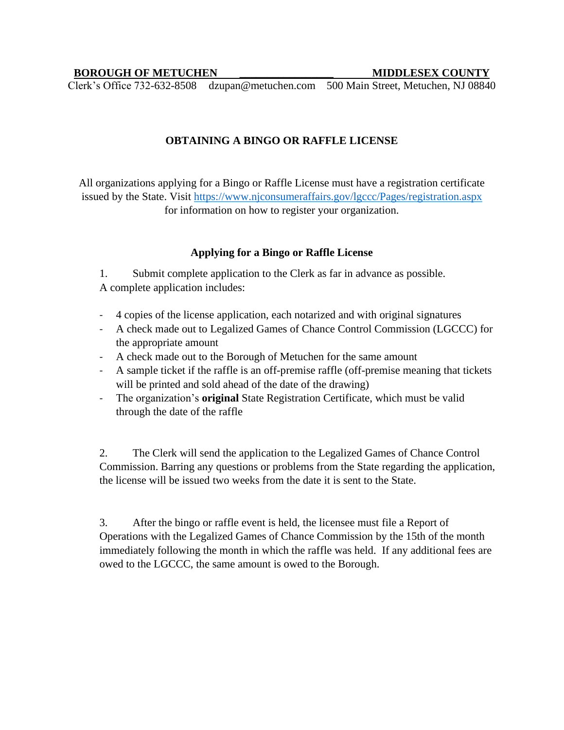## **BOROUGH OF METUCHEN \_\_\_\_\_\_\_\_\_\_\_\_\_\_\_\_\_ MIDDLESEX COUNTY**

Clerk's Office 732-632-8508 dzupan@metuchen.com 500 Main Street, Metuchen, NJ 08840

## **OBTAINING A BINGO OR RAFFLE LICENSE**

All organizations applying for a Bingo or Raffle License must have a registration certificate issued by the State. Visit<https://www.njconsumeraffairs.gov/lgccc/Pages/registration.aspx> for information on how to register your organization.

## **Applying for a Bingo or Raffle License**

1. Submit complete application to the Clerk as far in advance as possible. A complete application includes:

- 4 copies of the license application, each notarized and with original signatures
- A check made out to Legalized Games of Chance Control Commission (LGCCC) for the appropriate amount
- A check made out to the Borough of Metuchen for the same amount
- A sample ticket if the raffle is an off-premise raffle (off-premise meaning that tickets will be printed and sold ahead of the date of the drawing)
- The organization's **original** State Registration Certificate, which must be valid through the date of the raffle

2. The Clerk will send the application to the Legalized Games of Chance Control Commission. Barring any questions or problems from the State regarding the application, the license will be issued two weeks from the date it is sent to the State.

3. After the bingo or raffle event is held, the licensee must file a Report of Operations with the Legalized Games of Chance Commission by the 15th of the month immediately following the month in which the raffle was held. If any additional fees are owed to the LGCCC, the same amount is owed to the Borough.